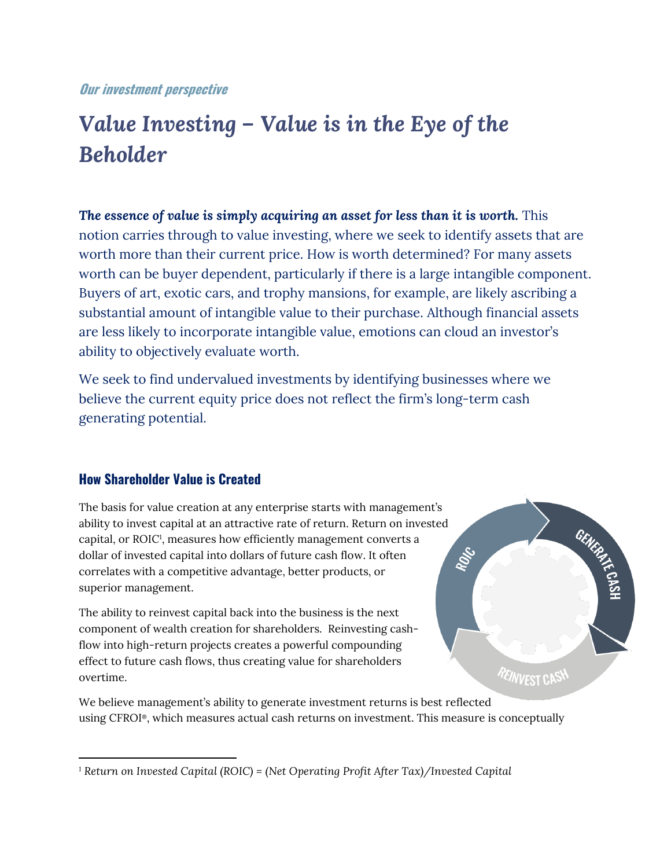### **Our investment perspective**

# *Value Investing – Value is in the Eye of the Beholder*

*The essence of value is simply acquiring an asset for less than it is worth.* This notion carries through to value investing, where we seek to identify assets that are worth more than their current price. How is worth determined? For many assets worth can be buyer dependent, particularly if there is a large intangible component. Buyers of art, exotic cars, and trophy mansions, for example, are likely ascribing a substantial amount of intangible value to their purchase. Although financial assets are less likely to incorporate intangible value, emotions can cloud an investor's ability to objectively evaluate worth.

We seek to find undervalued investments by identifying businesses where we believe the current equity price does not reflect the firm's long-term cash generating potential.

## **How Shareholder Value is Created**

The basis for value creation at any enterprise starts with management's ability to invest capital at an attractive rate of return. Return on invested capital, or ROIC<sup>1</sup>, measures how efficiently management converts a dollar of invested capital into dollars of future cash flow. It often correlates with a competitive advantage, better products, or superior management.

The ability to reinvest capital back into the business is the next component of wealth creation for shareholders. Reinvesting cashflow into high-return projects creates a powerful compounding effect to future cash flows, thus creating value for shareholders overtime.

We believe management's ability to generate investment returns is best reflected using CFROI®, which measures actual cash returns on investment. This measure is conceptually

ROLS

*PEINVEST CASH* 

*<sup>1</sup> Return on Invested Capital (ROIC) = (Net Operating Profit After Tax)/Invested Capital*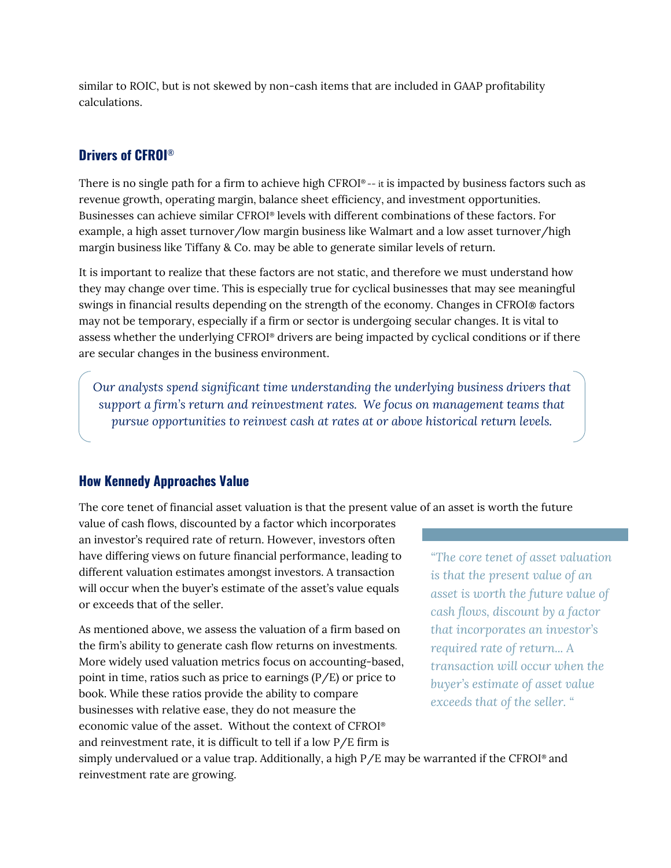similar to ROIC, but is not skewed by non-cash items that are included in GAAP profitability calculations.

# **Drivers of CFROI**®

There is no single path for a firm to achieve high CFROI® -- it is impacted by business factors such as revenue growth, operating margin, balance sheet efficiency, and investment opportunities. Businesses can achieve similar CFROI® levels with different combinations of these factors. For example, a high asset turnover/low margin business like Walmart and a low asset turnover/high margin business like Tiffany & Co. may be able to generate similar levels of return.

It is important to realize that these factors are not static, and therefore we must understand how they may change over time. This is especially true for cyclical businesses that may see meaningful swings in financial results depending on the strength of the economy. Changes in CFROI® factors may not be temporary, especially if a firm or sector is undergoing secular changes. It is vital to assess whether the underlying CFROI® drivers are being impacted by cyclical conditions or if there are secular changes in the business environment.

*Our analysts spend significant time understanding the underlying business drivers that support a firm's return and reinvestment rates. We focus on management teams that pursue opportunities to reinvest cash at rates at or above historical return levels.* 

## **How Kennedy Approaches Value**

The core tenet of financial asset valuation is that the present value of an asset is worth the future

value of cash flows, discounted by a factor which incorporates an investor's required rate of return. However, investors often have differing views on future financial performance, leading to different valuation estimates amongst investors. A transaction will occur when the buyer's estimate of the asset's value equals or exceeds that of the seller.

As mentioned above, we assess the valuation of a firm based on the firm's ability to generate cash flow returns on investments. More widely used valuation metrics focus on accounting-based, point in time, ratios such as price to earnings (P/E) or price to book. While these ratios provide the ability to compare businesses with relative ease, they do not measure the economic value of the asset. Without the context of CFROI® and reinvestment rate, it is difficult to tell if a low P/E firm is simply undervalued or a value trap. Additionally, a high  $P/E$  may be warranted if the CFROI<sup>®</sup> and reinvestment rate are growing.

*"The core tenet of asset valuation is that the present value of an asset is worth the future value of cash flows, discount by a factor that incorporates an investor's required rate of return... A transaction will occur when the buyer's estimate of asset value exceeds that of the seller. "*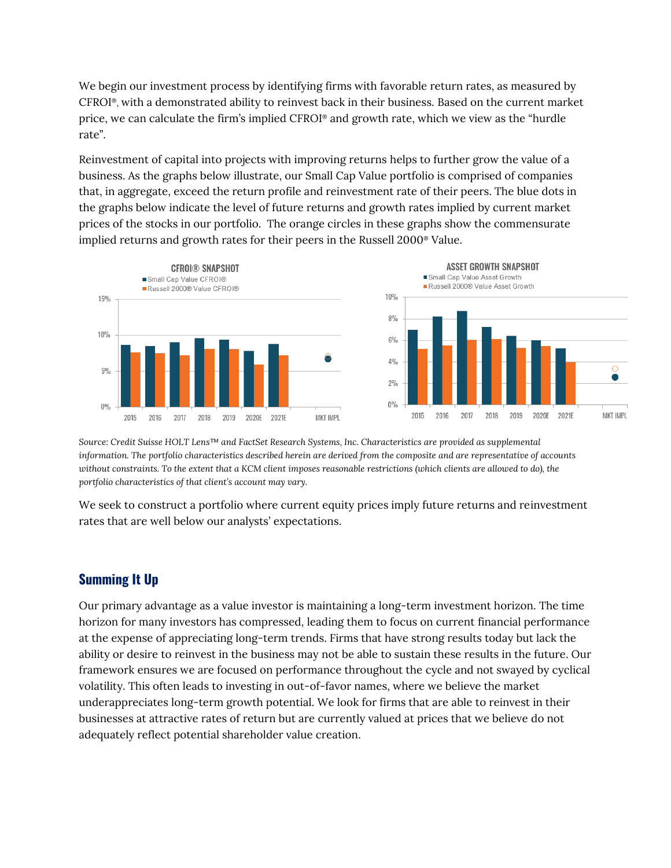We begin our investment process by identifying firms with favorable return rates, as measured by CFROI®, with a demonstrated ability to reinvest back in their business. Based on the current market price, we can calculate the firm's implied CFROI® and growth rate, which we view as the "hurdle rate".

Reinvestment of capital into projects with improving returns helps to further grow the value of a business. As the graphs below illustrate, our Small Cap Value portfolio is comprised of companies that, in aggregate, exceed the return profile and reinvestment rate of their peers. The blue dots in the graphs below indicate the level of future returns and growth rates implied by current market prices of the stocks in our portfolio. The orange circles in these graphs show the commensurate implied returns and growth rates for their peers in the Russell 2000® Value.



*Source: Credit Suisse HOLT Lens™ and FactSet Research Systems, Inc. Characteristics are provided as supplemental information. The portfolio characteristics described herein are derived from the composite and are representative of accounts without constraints. To the extent that a KCM client imposes reasonable restrictions (which clients are allowed to do), the portfolio characteristics of that client's account may vary.*

We seek to construct a portfolio where current equity prices imply future returns and reinvestment rates that are well below our analysts' expectations.

### **Summing It Up**

Our primary advantage as a value investor is maintaining a long-term investment horizon. The time horizon for many investors has compressed, leading them to focus on current financial performance at the expense of appreciating long-term trends. Firms that have strong results today but lack the ability or desire to reinvest in the business may not be able to sustain these results in the future. Our framework ensures we are focused on performance throughout the cycle and not swayed by cyclical volatility. This often leads to investing in out-of-favor names, where we believe the market underappreciates long-term growth potential. We look for firms that are able to reinvest in their businesses at attractive rates of return but are currently valued at prices that we believe do not adequately reflect potential shareholder value creation.